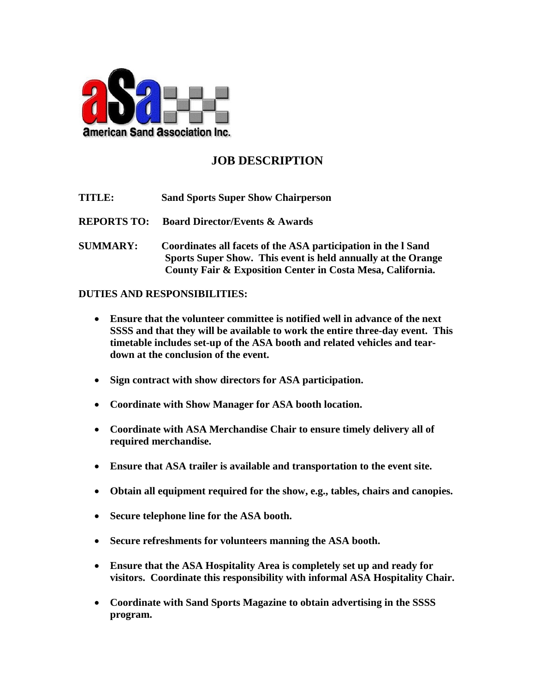

## **JOB DESCRIPTION**

- **TITLE: Sand Sports Super Show Chairperson**
- **REPORTS TO: Board Director/Events & Awards**
- **SUMMARY: Coordinates all facets of the ASA participation in the l Sand Sports Super Show. This event is held annually at the Orange County Fair & Exposition Center in Costa Mesa, California.**

## **DUTIES AND RESPONSIBILITIES:**

- **Ensure that the volunteer committee is notified well in advance of the next SSSS and that they will be available to work the entire three-day event. This timetable includes set-up of the ASA booth and related vehicles and teardown at the conclusion of the event.**
- **Sign contract with show directors for ASA participation.**
- **Coordinate with Show Manager for ASA booth location.**
- **Coordinate with ASA Merchandise Chair to ensure timely delivery all of required merchandise.**
- **Ensure that ASA trailer is available and transportation to the event site.**
- **Obtain all equipment required for the show, e.g., tables, chairs and canopies.**
- **Secure telephone line for the ASA booth.**
- **Secure refreshments for volunteers manning the ASA booth.**
- **Ensure that the ASA Hospitality Area is completely set up and ready for visitors. Coordinate this responsibility with informal ASA Hospitality Chair.**
- **Coordinate with Sand Sports Magazine to obtain advertising in the SSSS program.**